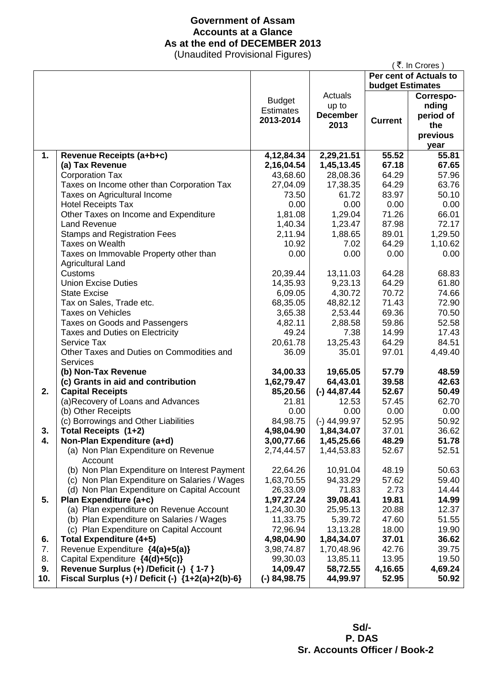# **Government of Assam Accounts at a Glance As at the end of DECEMBER 2013**

(Unaudited Provisional Figures)

|     |                                                  |                  |                 |                         | ₹. In Crores)          |
|-----|--------------------------------------------------|------------------|-----------------|-------------------------|------------------------|
|     |                                                  |                  |                 |                         | Per cent of Actuals to |
|     |                                                  |                  |                 | <b>budget Estimates</b> |                        |
|     |                                                  | <b>Budget</b>    | Actuals         |                         | Correspo-              |
|     |                                                  | <b>Estimates</b> | up to           |                         | nding                  |
|     |                                                  |                  | <b>December</b> |                         | period of              |
|     |                                                  | 2013-2014        | 2013            | <b>Current</b>          | the                    |
|     |                                                  |                  |                 |                         | previous               |
|     |                                                  |                  |                 |                         | year                   |
| 1.  | Revenue Receipts (a+b+c)                         | 4, 12, 84. 34    | 2,29,21.51      | 55.52                   | 55.81                  |
|     | (a) Tax Revenue                                  | 2,16,04.54       | 1,45,13.45      | 67.18                   | 67.65                  |
|     | <b>Corporation Tax</b>                           | 43,68.60         | 28,08.36        | 64.29                   | 57.96                  |
|     | Taxes on Income other than Corporation Tax       | 27,04.09         | 17,38.35        | 64.29                   | 63.76                  |
|     | Taxes on Agricultural Income                     | 73.50            | 61.72           | 83.97                   | 50.10                  |
|     | <b>Hotel Receipts Tax</b>                        | 0.00             | 0.00            | 0.00                    | 0.00                   |
|     | Other Taxes on Income and Expenditure            | 1,81.08          | 1,29.04         | 71.26                   | 66.01                  |
|     | <b>Land Revenue</b>                              | 1,40.34          | 1,23.47         | 87.98                   | 72.17                  |
|     | <b>Stamps and Registration Fees</b>              | 2,11.94          | 1,88.65         | 89.01                   | 1,29.50                |
|     | Taxes on Wealth                                  | 10.92            | 7.02            | 64.29                   | 1,10.62                |
|     | Taxes on Immovable Property other than           | 0.00             | 0.00            | 0.00                    | 0.00                   |
|     | <b>Agricultural Land</b>                         |                  |                 |                         |                        |
|     | Customs                                          | 20,39.44         | 13,11.03        | 64.28                   | 68.83                  |
|     | <b>Union Excise Duties</b>                       | 14,35.93         | 9,23.13         | 64.29                   | 61.80                  |
|     | <b>State Excise</b>                              | 6,09.05          | 4,30.72         | 70.72                   | 74.66                  |
|     | Tax on Sales, Trade etc.                         | 68,35.05         | 48,82.12        | 71.43                   | 72.90                  |
|     | <b>Taxes on Vehicles</b>                         | 3,65.38          | 2,53.44         | 69.36                   | 70.50                  |
|     | Taxes on Goods and Passengers                    | 4,82.11          | 2,88.58         | 59.86                   | 52.58                  |
|     | Taxes and Duties on Electricity                  | 49.24            | 7.38            | 14.99                   | 17.43                  |
|     | Service Tax                                      | 20,61.78         | 13,25.43        | 64.29                   | 84.51                  |
|     | Other Taxes and Duties on Commodities and        | 36.09            | 35.01           | 97.01                   | 4,49.40                |
|     | <b>Services</b>                                  |                  |                 |                         |                        |
|     | (b) Non-Tax Revenue                              | 34,00.33         | 19,65.05        | 57.79                   | 48.59                  |
|     | (c) Grants in aid and contribution               | 1,62,79.47       | 64,43.01        | 39.58                   | 42.63                  |
| 2.  | <b>Capital Receipts</b>                          | 85,20.56         | $(-)$ 44,87.44  | 52.67                   | 50.49                  |
|     | (a)Recovery of Loans and Advances                | 21.81            | 12.53           | 57.45                   | 62.70                  |
|     | (b) Other Receipts                               | 0.00             | 0.00            | 0.00                    | 0.00                   |
|     | (c) Borrowings and Other Liabilities             | 84,98.75         | $(-)$ 44,99.97  | 52.95                   | 50.92                  |
| 3.  | Total Receipts (1+2)                             | 4,98,04.90       | 1,84,34.07      | 37.01                   | 36.62                  |
| 4.  | Non-Plan Expenditure (a+d)                       | 3,00,77.66       | 1,45,25.66      | 48.29                   | 51.78                  |
|     | (a) Non Plan Expenditure on Revenue<br>Account   | 2,74,44.57       | 1,44,53.83      | 52.67                   | 52.51                  |
|     | (b) Non Plan Expenditure on Interest Payment     | 22,64.26         | 10,91.04        | 48.19                   | 50.63                  |
|     | (c) Non Plan Expenditure on Salaries / Wages     | 1,63,70.55       | 94,33.29        | 57.62                   | 59.40                  |
|     | (d) Non Plan Expenditure on Capital Account      | 26,33.09         | 71.83           | 2.73                    | 14.44                  |
| 5.  | Plan Expenditure (a+c)                           | 1,97,27.24       | 39,08.41        | 19.81                   | 14.99                  |
|     | (a) Plan expenditure on Revenue Account          | 1,24,30.30       | 25,95.13        | 20.88                   | 12.37                  |
|     | (b) Plan Expenditure on Salaries / Wages         | 11,33.75         | 5,39.72         | 47.60                   | 51.55                  |
|     | (c) Plan Expenditure on Capital Account          | 72,96.94         | 13,13.28        | 18.00                   | 19.90                  |
| 6.  | <b>Total Expenditure (4+5)</b>                   | 4,98,04.90       | 1,84,34.07      | 37.01                   | 36.62                  |
| 7.  | Revenue Expenditure {4(a)+5(a)}                  | 3,98,74.87       | 1,70,48.96      | 42.76                   | 39.75                  |
| 8.  | Capital Expenditure {4(d)+5(c)}                  | 99,30.03         | 13,85.11        | 13.95                   | 19.50                  |
| 9.  | Revenue Surplus (+) /Deficit (-) { 1-7 }         | 14,09.47         | 58,72.55        | 4,16.65                 | 4,69.24                |
| 10. | Fiscal Surplus (+) / Deficit (-) {1+2(a)+2(b)-6} | $(-) 84,98.75$   | 44,99.97        | 52.95                   | 50.92                  |

 **Sd/- P. DAS Sr. Accounts Officer / Book-2**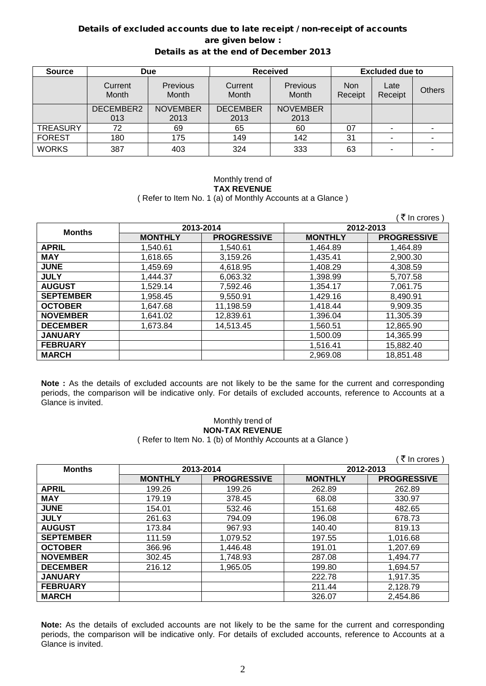### Details of excluded accounts due to late receipt / non-receipt of accounts are given below : Details as at the end of December 2013

| <b>Source</b>   | <b>Due</b>       |                   | <b>Received</b>  |                   | <b>Excluded due to</b> |                 |               |
|-----------------|------------------|-------------------|------------------|-------------------|------------------------|-----------------|---------------|
|                 | Current<br>Month | Previous<br>Month | Current<br>Month | Previous<br>Month | <b>Non</b><br>Receipt  | Late<br>Receipt | <b>Others</b> |
|                 | DECEMBER2        | <b>NOVEMBER</b>   | <b>DECEMBER</b>  | <b>NOVEMBER</b>   |                        |                 |               |
|                 | 013              | 2013              | 2013             | 2013              |                        |                 |               |
| <b>TREASURY</b> | 72               | 69                | 65               | 60                | 07                     |                 |               |
| <b>FOREST</b>   | 180              | 175               | 149              | 142               | 31                     |                 |               |
| <b>WORKS</b>    | 387              | 403               | 324              | 333               | 63                     |                 |               |

#### Monthly trend of **TAX REVENUE** ( Refer to Item No. 1 (a) of Monthly Accounts at a Glance )

|                  |                |                    |                | ₹ In crores )      |  |
|------------------|----------------|--------------------|----------------|--------------------|--|
| <b>Months</b>    |                | 2013-2014          | 2012-2013      |                    |  |
|                  | <b>MONTHLY</b> | <b>PROGRESSIVE</b> | <b>MONTHLY</b> | <b>PROGRESSIVE</b> |  |
| <b>APRIL</b>     | 1,540.61       | 1,540.61           | 1,464.89       | 1,464.89           |  |
| <b>MAY</b>       | 1,618.65       | 3,159.26           | 1,435.41       | 2,900.30           |  |
| <b>JUNE</b>      | 1,459.69       | 4,618.95           | 1,408.29       | 4,308.59           |  |
| <b>JULY</b>      | 1,444.37       | 6,063.32           | 1,398.99       | 5,707.58           |  |
| <b>AUGUST</b>    | 1.529.14       | 7,592.46           | 1,354.17       | 7,061.75           |  |
| <b>SEPTEMBER</b> | 1,958.45       | 9,550.91           | 1,429.16       | 8,490.91           |  |
| <b>OCTOBER</b>   | 1,647.68       | 11,198.59          | 1,418.44       | 9,909.35           |  |
| <b>NOVEMBER</b>  | 1,641.02       | 12,839.61          | 1,396.04       | 11,305.39          |  |
| <b>DECEMBER</b>  | 1,673.84       | 14,513.45          | 1,560.51       | 12,865.90          |  |
| <b>JANUARY</b>   |                |                    | 1,500.09       | 14,365.99          |  |
| <b>FEBRUARY</b>  |                |                    | 1,516.41       | 15,882.40          |  |
| <b>MARCH</b>     |                |                    | 2,969.08       | 18,851.48          |  |

**Note :** As the details of excluded accounts are not likely to be the same for the current and corresponding periods, the comparison will be indicative only. For details of excluded accounts, reference to Accounts at a Glance is invited.

# Monthly trend of **NON-TAX REVENUE**

( Refer to Item No. 1 (b) of Monthly Accounts at a Glance )

|                  |                |                    |                | ₹ In crores        |
|------------------|----------------|--------------------|----------------|--------------------|
| <b>Months</b>    |                | 2013-2014          |                | 2012-2013          |
|                  | <b>MONTHLY</b> | <b>PROGRESSIVE</b> | <b>MONTHLY</b> | <b>PROGRESSIVE</b> |
| <b>APRIL</b>     | 199.26         | 199.26             | 262.89         | 262.89             |
| <b>MAY</b>       | 179.19         | 378.45             | 68.08          | 330.97             |
| <b>JUNE</b>      | 154.01         | 532.46             | 151.68         | 482.65             |
| <b>JULY</b>      | 261.63         | 794.09             | 196.08         | 678.73             |
| <b>AUGUST</b>    | 173.84         | 967.93             | 140.40         | 819.13             |
| <b>SEPTEMBER</b> | 111.59         | 1,079.52           | 197.55         | 1,016.68           |
| <b>OCTOBER</b>   | 366.96         | 1,446.48           | 191.01         | 1,207.69           |
| <b>NOVEMBER</b>  | 302.45         | 1,748.93           | 287.08         | 1,494.77           |
| <b>DECEMBER</b>  | 216.12         | 1,965.05           | 199.80         | 1,694.57           |
| <b>JANUARY</b>   |                |                    | 222.78         | 1,917.35           |
| <b>FEBRUARY</b>  |                |                    | 211.44         | 2,128.79           |
| <b>MARCH</b>     |                |                    | 326.07         | 2,454.86           |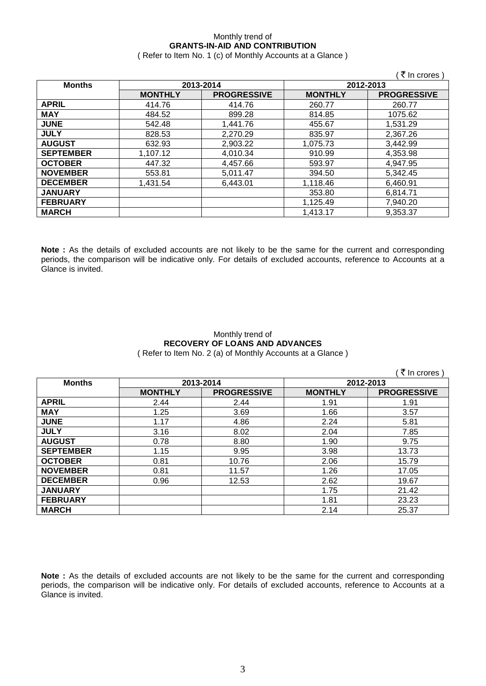# Monthly trend of **GRANTS-IN-AID AND CONTRIBUTION**

( Refer to Item No. 1 (c) of Monthly Accounts at a Glance )

|                  |                |                    |                | ′ ₹ In crores )    |
|------------------|----------------|--------------------|----------------|--------------------|
| <b>Months</b>    |                | 2013-2014          |                | 2012-2013          |
|                  | <b>MONTHLY</b> | <b>PROGRESSIVE</b> | <b>MONTHLY</b> | <b>PROGRESSIVE</b> |
| <b>APRIL</b>     | 414.76         | 414.76             | 260.77         | 260.77             |
| <b>MAY</b>       | 484.52         | 899.28             | 814.85         | 1075.62            |
| <b>JUNE</b>      | 542.48         | 1,441.76           | 455.67         | 1,531.29           |
| <b>JULY</b>      | 828.53         | 2,270.29           | 835.97         | 2,367.26           |
| <b>AUGUST</b>    | 632.93         | 2,903.22           | 1,075.73       | 3,442.99           |
| <b>SEPTEMBER</b> | 1,107.12       | 4,010.34           | 910.99         | 4,353.98           |
| <b>OCTOBER</b>   | 447.32         | 4,457.66           | 593.97         | 4.947.95           |
| <b>NOVEMBER</b>  | 553.81         | 5,011.47           | 394.50         | 5,342.45           |
| <b>DECEMBER</b>  | 1.431.54       | 6.443.01           | 1,118.46       | 6,460.91           |
| <b>JANUARY</b>   |                |                    | 353.80         | 6,814.71           |
| <b>FEBRUARY</b>  |                |                    | 1,125.49       | 7,940.20           |
| <b>MARCH</b>     |                |                    | 1,413.17       | 9,353.37           |

**Note :** As the details of excluded accounts are not likely to be the same for the current and corresponding periods, the comparison will be indicative only. For details of excluded accounts, reference to Accounts at a Glance is invited.

### Monthly trend of **RECOVERY OF LOANS AND ADVANCES** ( Refer to Item No. 2 (a) of Monthly Accounts at a Glance )

|                  |                |                    |                | ₹ In crores        |
|------------------|----------------|--------------------|----------------|--------------------|
| <b>Months</b>    |                | 2013-2014          | 2012-2013      |                    |
|                  | <b>MONTHLY</b> | <b>PROGRESSIVE</b> | <b>MONTHLY</b> | <b>PROGRESSIVE</b> |
| <b>APRIL</b>     | 2.44           | 2.44               | 1.91           | 1.91               |
| <b>MAY</b>       | 1.25           | 3.69               | 1.66           | 3.57               |
| <b>JUNE</b>      | 1.17           | 4.86               | 2.24           | 5.81               |
| <b>JULY</b>      | 3.16           | 8.02               | 2.04           | 7.85               |
| <b>AUGUST</b>    | 0.78           | 8.80               | 1.90           | 9.75               |
| <b>SEPTEMBER</b> | 1.15           | 9.95               | 3.98           | 13.73              |
| <b>OCTOBER</b>   | 0.81           | 10.76              | 2.06           | 15.79              |
| <b>NOVEMBER</b>  | 0.81           | 11.57              | 1.26           | 17.05              |
| <b>DECEMBER</b>  | 0.96           | 12.53              | 2.62           | 19.67              |
| <b>JANUARY</b>   |                |                    | 1.75           | 21.42              |
| <b>FEBRUARY</b>  |                |                    | 1.81           | 23.23              |
| <b>MARCH</b>     |                |                    | 2.14           | 25.37              |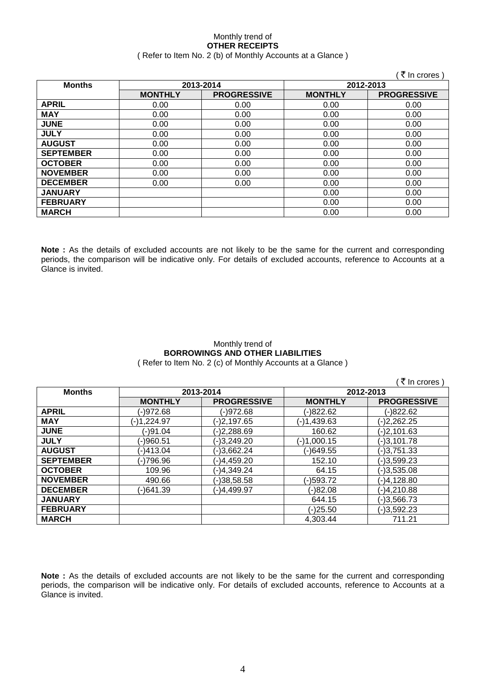### Monthly trend of **OTHER RECEIPTS** ( Refer to Item No. 2 (b) of Monthly Accounts at a Glance )

|                  |                |                    |                | ∶ ₹ In crores)     |
|------------------|----------------|--------------------|----------------|--------------------|
| <b>Months</b>    |                | 2013-2014          | 2012-2013      |                    |
|                  | <b>MONTHLY</b> | <b>PROGRESSIVE</b> | <b>MONTHLY</b> | <b>PROGRESSIVE</b> |
| <b>APRIL</b>     | 0.00           | 0.00               | 0.00           | 0.00               |
| <b>MAY</b>       | 0.00           | 0.00               | 0.00           | 0.00               |
| <b>JUNE</b>      | 0.00           | 0.00               | 0.00           | 0.00               |
| <b>JULY</b>      | 0.00           | 0.00               | 0.00           | 0.00               |
| <b>AUGUST</b>    | 0.00           | 0.00               | 0.00           | 0.00               |
| <b>SEPTEMBER</b> | 0.00           | 0.00               | 0.00           | 0.00               |
| <b>OCTOBER</b>   | 0.00           | 0.00               | 0.00           | 0.00               |
| <b>NOVEMBER</b>  | 0.00           | 0.00               | 0.00           | 0.00               |
| <b>DECEMBER</b>  | 0.00           | 0.00               | 0.00           | 0.00               |
| <b>JANUARY</b>   |                |                    | 0.00           | 0.00               |
| <b>FEBRUARY</b>  |                |                    | 0.00           | 0.00               |
| <b>MARCH</b>     |                |                    | 0.00           | 0.00               |

**Note :** As the details of excluded accounts are not likely to be the same for the current and corresponding periods, the comparison will be indicative only. For details of excluded accounts, reference to Accounts at a Glance is invited.

### Monthly trend of **BORROWINGS AND OTHER LIABILITIES** ( Refer to Item No. 2 (c) of Monthly Accounts at a Glance )

 $($   $\overline{z}$  In crores )

| <b>Months</b>    | 2013-2014      |                    | 2012-2013      |                    |
|------------------|----------------|--------------------|----------------|--------------------|
|                  | <b>MONTHLY</b> | <b>PROGRESSIVE</b> | <b>MONTHLY</b> | <b>PROGRESSIVE</b> |
| <b>APRIL</b>     | (-)972.68      | (-)972.68          | (-)822.62      | (-)822.62          |
| <b>MAY</b>       | (-)1,224.97    | (-)2,197.65        | (-)1,439.63    | $(-)2,262.25$      |
| <b>JUNE</b>      | (-)91.04       | (-)2,288.69        | 160.62         | $(-)2,101.63$      |
| <b>JULY</b>      | (-)960.51      | (-)3,249.20        | (-)1,000.15    | $(-)3,101.78$      |
| <b>AUGUST</b>    | (-)413.04      | (-)3,662.24        | (-)649.55      | $(-)3,751.33$      |
| <b>SEPTEMBER</b> | (-)796.96      | (-)4,459.20        | 152.10         | $(-)3,599.23$      |
| <b>OCTOBER</b>   | 109.96         | (-)4,349.24        | 64.15          | $(-)3,535.08$      |
| <b>NOVEMBER</b>  | 490.66         | (-)38,58.58        | (-)593.72      | (-)4,128.80        |
| <b>DECEMBER</b>  | (-)641.39      | (-)4,499.97        | $(-)82.08$     | (-)4,210.88        |
| <b>JANUARY</b>   |                |                    | 644.15         | (-)3,566.73        |
| <b>FEBRUARY</b>  |                |                    | (-)25.50       | $(-)3,592.23$      |
| <b>MARCH</b>     |                |                    | 4,303.44       | 711.21             |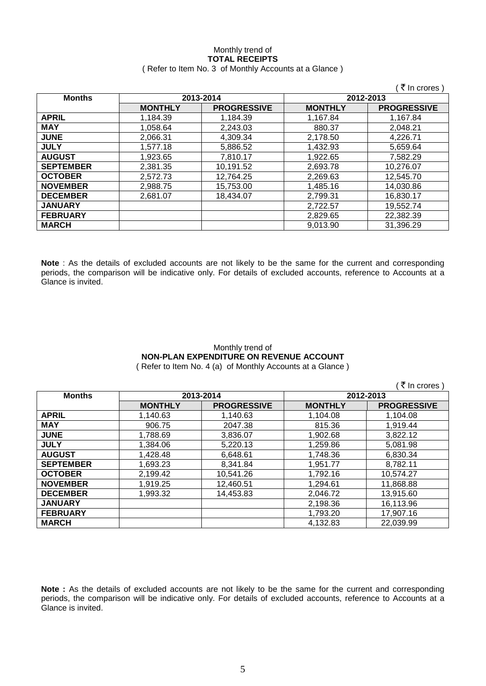### Monthly trend of **TOTAL RECEIPTS** ( Refer to Item No. 3 of Monthly Accounts at a Glance )

|                  |                |                    |                | ₹ In crores)       |
|------------------|----------------|--------------------|----------------|--------------------|
| <b>Months</b>    |                | 2013-2014          |                | 2012-2013          |
|                  | <b>MONTHLY</b> | <b>PROGRESSIVE</b> | <b>MONTHLY</b> | <b>PROGRESSIVE</b> |
| <b>APRIL</b>     | 1,184.39       | 1,184.39           | 1,167.84       | 1.167.84           |
| <b>MAY</b>       | 1.058.64       | 2,243.03           | 880.37         | 2,048.21           |
| <b>JUNE</b>      | 2.066.31       | 4.309.34           | 2.178.50       | 4.226.71           |
| <b>JULY</b>      | 1.577.18       | 5,886.52           | 1,432.93       | 5,659.64           |
| <b>AUGUST</b>    | 1.923.65       | 7.810.17           | 1,922.65       | 7.582.29           |
| <b>SEPTEMBER</b> | 2,381.35       | 10,191.52          | 2,693.78       | 10,276.07          |
| <b>OCTOBER</b>   | 2,572.73       | 12,764.25          | 2,269.63       | 12,545.70          |
| <b>NOVEMBER</b>  | 2,988.75       | 15,753.00          | 1,485.16       | 14.030.86          |
| <b>DECEMBER</b>  | 2.681.07       | 18.434.07          | 2,799.31       | 16,830.17          |
| <b>JANUARY</b>   |                |                    | 2,722.57       | 19.552.74          |
| <b>FEBRUARY</b>  |                |                    | 2,829.65       | 22,382.39          |
| <b>MARCH</b>     |                |                    | 9,013.90       | 31,396.29          |

**Note** : As the details of excluded accounts are not likely to be the same for the current and corresponding periods, the comparison will be indicative only. For details of excluded accounts, reference to Accounts at a Glance is invited.

### Monthly trend of **NON-PLAN EXPENDITURE ON REVENUE ACCOUNT** ( Refer to Item No. 4 (a) of Monthly Accounts at a Glance )

| ₹ In crores )    |                |                    |                |                    |
|------------------|----------------|--------------------|----------------|--------------------|
| <b>Months</b>    |                | 2013-2014          | 2012-2013      |                    |
|                  | <b>MONTHLY</b> | <b>PROGRESSIVE</b> | <b>MONTHLY</b> | <b>PROGRESSIVE</b> |
| <b>APRIL</b>     | 1,140.63       | 1.140.63           | 1,104.08       | 1,104.08           |
| <b>MAY</b>       | 906.75         | 2047.38            | 815.36         | 1,919.44           |
| <b>JUNE</b>      | 1,788.69       | 3,836.07           | 1,902.68       | 3,822.12           |
| <b>JULY</b>      | 1,384.06       | 5,220.13           | 1,259.86       | 5,081.98           |
| <b>AUGUST</b>    | 1,428.48       | 6,648.61           | 1,748.36       | 6,830.34           |
| <b>SEPTEMBER</b> | 1,693.23       | 8,341.84           | 1,951.77       | 8,782.11           |
| <b>OCTOBER</b>   | 2,199.42       | 10,541.26          | 1,792.16       | 10,574.27          |
| <b>NOVEMBER</b>  | 1,919.25       | 12,460.51          | 1,294.61       | 11,868.88          |
| <b>DECEMBER</b>  | 1.993.32       | 14.453.83          | 2,046.72       | 13,915.60          |
| <b>JANUARY</b>   |                |                    | 2,198.36       | 16,113.96          |
| <b>FEBRUARY</b>  |                |                    | 1,793.20       | 17,907.16          |
| <b>MARCH</b>     |                |                    | 4.132.83       | 22,039.99          |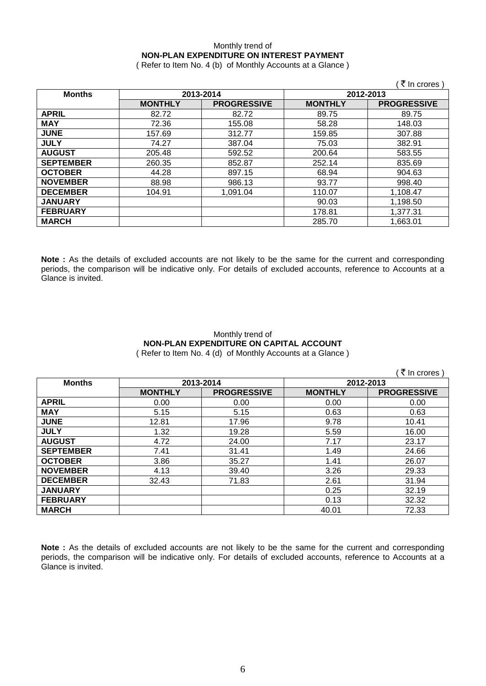# Monthly trend of **NON-PLAN EXPENDITURE ON INTEREST PAYMENT**

( Refer to Item No. 4 (b) of Monthly Accounts at a Glance )

|                  |                |                    |                | ्रे In crores )    |
|------------------|----------------|--------------------|----------------|--------------------|
| <b>Months</b>    | 2013-2014      |                    |                | 2012-2013          |
|                  | <b>MONTHLY</b> | <b>PROGRESSIVE</b> | <b>MONTHLY</b> | <b>PROGRESSIVE</b> |
| <b>APRIL</b>     | 82.72          | 82.72              | 89.75          | 89.75              |
| <b>MAY</b>       | 72.36          | 155.08             | 58.28          | 148.03             |
| <b>JUNE</b>      | 157.69         | 312.77             | 159.85         | 307.88             |
| <b>JULY</b>      | 74.27          | 387.04             | 75.03          | 382.91             |
| <b>AUGUST</b>    | 205.48         | 592.52             | 200.64         | 583.55             |
| <b>SEPTEMBER</b> | 260.35         | 852.87             | 252.14         | 835.69             |
| <b>OCTOBER</b>   | 44.28          | 897.15             | 68.94          | 904.63             |
| <b>NOVEMBER</b>  | 88.98          | 986.13             | 93.77          | 998.40             |
| <b>DECEMBER</b>  | 104.91         | 1,091.04           | 110.07         | 1,108.47           |
| <b>JANUARY</b>   |                |                    | 90.03          | 1,198.50           |
| <b>FEBRUARY</b>  |                |                    | 178.81         | 1,377.31           |
| <b>MARCH</b>     |                |                    | 285.70         | 1,663.01           |

**Note :** As the details of excluded accounts are not likely to be the same for the current and corresponding periods, the comparison will be indicative only. For details of excluded accounts, reference to Accounts at a Glance is invited.

### Monthly trend of **NON-PLAN EXPENDITURE ON CAPITAL ACCOUNT** ( Refer to Item No. 4 (d) of Monthly Accounts at a Glance )

|                  |                |                    |                | ₹ In crores        |
|------------------|----------------|--------------------|----------------|--------------------|
| <b>Months</b>    |                | 2013-2014          | 2012-2013      |                    |
|                  | <b>MONTHLY</b> | <b>PROGRESSIVE</b> | <b>MONTHLY</b> | <b>PROGRESSIVE</b> |
| <b>APRIL</b>     | 0.00           | 0.00               | 0.00           | 0.00               |
| <b>MAY</b>       | 5.15           | 5.15               | 0.63           | 0.63               |
| <b>JUNE</b>      | 12.81          | 17.96              | 9.78           | 10.41              |
| <b>JULY</b>      | 1.32           | 19.28              | 5.59           | 16.00              |
| <b>AUGUST</b>    | 4.72           | 24.00              | 7.17           | 23.17              |
| <b>SEPTEMBER</b> | 7.41           | 31.41              | 1.49           | 24.66              |
| <b>OCTOBER</b>   | 3.86           | 35.27              | 1.41           | 26.07              |
| <b>NOVEMBER</b>  | 4.13           | 39.40              | 3.26           | 29.33              |
| <b>DECEMBER</b>  | 32.43          | 71.83              | 2.61           | 31.94              |
| <b>JANUARY</b>   |                |                    | 0.25           | 32.19              |
| <b>FEBRUARY</b>  |                |                    | 0.13           | 32.32              |
| <b>MARCH</b>     |                |                    | 40.01          | 72.33              |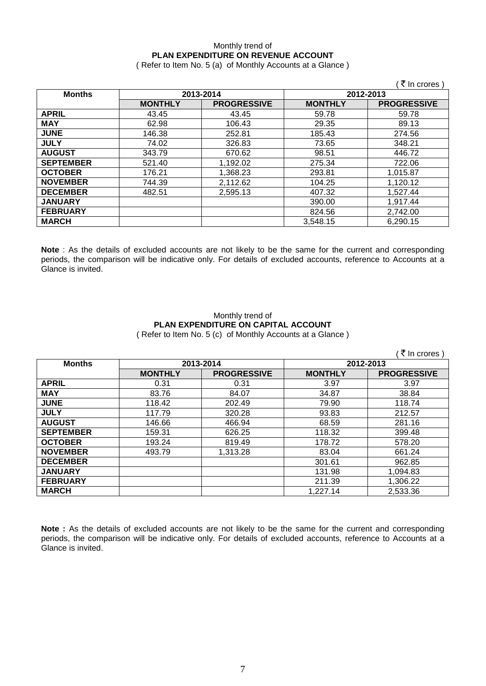## Monthly trend of **PLAN EXPENDITURE ON REVENUE ACCOUNT**

( Refer to Item No. 5 (a) of Monthly Accounts at a Glance )

|                  |                |                    |                | ्रे In crores )    |  |
|------------------|----------------|--------------------|----------------|--------------------|--|
| <b>Months</b>    | 2013-2014      |                    |                | 2012-2013          |  |
|                  | <b>MONTHLY</b> | <b>PROGRESSIVE</b> | <b>MONTHLY</b> | <b>PROGRESSIVE</b> |  |
| <b>APRIL</b>     | 43.45          | 43.45              | 59.78          | 59.78              |  |
| <b>MAY</b>       | 62.98          | 106.43             | 29.35          | 89.13              |  |
| <b>JUNE</b>      | 146.38         | 252.81             | 185.43         | 274.56             |  |
| <b>JULY</b>      | 74.02          | 326.83             | 73.65          | 348.21             |  |
| <b>AUGUST</b>    | 343.79         | 670.62             | 98.51          | 446.72             |  |
| <b>SEPTEMBER</b> | 521.40         | 1,192.02           | 275.34         | 722.06             |  |
| <b>OCTOBER</b>   | 176.21         | 1,368.23           | 293.81         | 1,015.87           |  |
| <b>NOVEMBER</b>  | 744.39         | 2,112.62           | 104.25         | 1,120.12           |  |
| <b>DECEMBER</b>  | 482.51         | 2,595.13           | 407.32         | 1,527.44           |  |
| <b>JANUARY</b>   |                |                    | 390.00         | 1,917.44           |  |
| <b>FEBRUARY</b>  |                |                    | 824.56         | 2,742.00           |  |
| <b>MARCH</b>     |                |                    | 3,548.15       | 6,290.15           |  |

**Note** : As the details of excluded accounts are not likely to be the same for the current and corresponding periods, the comparison will be indicative only. For details of excluded accounts, reference to Accounts at a Glance is invited.

### Monthly trend of **PLAN EXPENDITURE ON CAPITAL ACCOUNT** ( Refer to Item No. 5 (c) of Monthly Accounts at a Glance )

|                  |                |                    |                | ्रे In crores )    |
|------------------|----------------|--------------------|----------------|--------------------|
| <b>Months</b>    | 2013-2014      |                    | 2012-2013      |                    |
|                  | <b>MONTHLY</b> | <b>PROGRESSIVE</b> | <b>MONTHLY</b> | <b>PROGRESSIVE</b> |
| <b>APRIL</b>     | 0.31           | 0.31               | 3.97           | 3.97               |
| <b>MAY</b>       | 83.76          | 84.07              | 34.87          | 38.84              |
| <b>JUNE</b>      | 118.42         | 202.49             | 79.90          | 118.74             |
| <b>JULY</b>      | 117.79         | 320.28             | 93.83          | 212.57             |
| <b>AUGUST</b>    | 146.66         | 466.94             | 68.59          | 281.16             |
| <b>SEPTEMBER</b> | 159.31         | 626.25             | 118.32         | 399.48             |
| <b>OCTOBER</b>   | 193.24         | 819.49             | 178.72         | 578.20             |
| <b>NOVEMBER</b>  | 493.79         | 1,313.28           | 83.04          | 661.24             |
| <b>DECEMBER</b>  |                |                    | 301.61         | 962.85             |
| <b>JANUARY</b>   |                |                    | 131.98         | 1,094.83           |
| <b>FEBRUARY</b>  |                |                    | 211.39         | 1,306.22           |
| <b>MARCH</b>     |                |                    | 1,227.14       | 2,533.36           |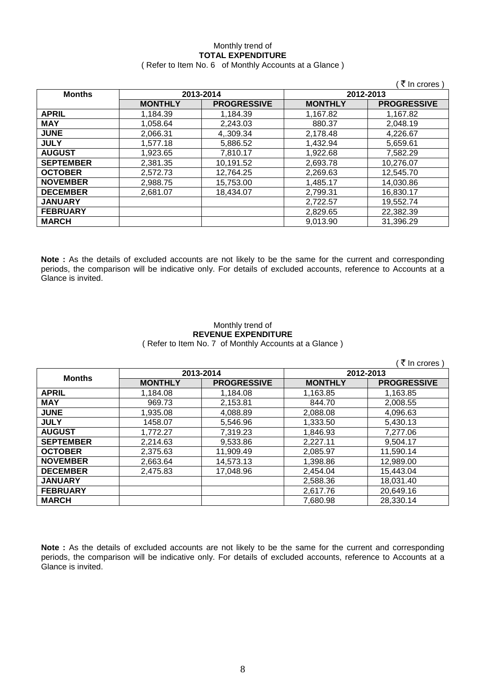# Monthly trend of **TOTAL EXPENDITURE**

|  | (Refer to Item No. 6 of Monthly Accounts at a Glance) |
|--|-------------------------------------------------------|
|--|-------------------------------------------------------|

|                  |                        |                    |                | ∶₹ In crores ∖     |
|------------------|------------------------|--------------------|----------------|--------------------|
| <b>Months</b>    | 2013-2014<br>2012-2013 |                    |                |                    |
|                  | <b>MONTHLY</b>         | <b>PROGRESSIVE</b> | <b>MONTHLY</b> | <b>PROGRESSIVE</b> |
| <b>APRIL</b>     | 1.184.39               | 1,184.39           | 1.167.82       | 1.167.82           |
| <b>MAY</b>       | 1.058.64               | 2,243.03           | 880.37         | 2.048.19           |
| <b>JUNE</b>      | 2,066.31               | 4,.309.34          | 2,178.48       | 4,226.67           |
| <b>JULY</b>      | 1,577.18               | 5,886.52           | 1,432.94       | 5,659.61           |
| <b>AUGUST</b>    | 1,923.65               | 7,810.17           | 1,922.68       | 7,582.29           |
| <b>SEPTEMBER</b> | 2,381.35               | 10,191.52          | 2,693.78       | 10,276.07          |
| <b>OCTOBER</b>   | 2,572.73               | 12,764.25          | 2,269.63       | 12,545.70          |
| <b>NOVEMBER</b>  | 2,988.75               | 15,753.00          | 1,485.17       | 14,030.86          |
| <b>DECEMBER</b>  | 2,681.07               | 18,434.07          | 2,799.31       | 16,830.17          |
| <b>JANUARY</b>   |                        |                    | 2,722.57       | 19,552.74          |
| <b>FEBRUARY</b>  |                        |                    | 2,829.65       | 22,382.39          |
| <b>MARCH</b>     |                        |                    | 9,013.90       | 31,396.29          |

**Note :** As the details of excluded accounts are not likely to be the same for the current and corresponding periods, the comparison will be indicative only. For details of excluded accounts, reference to Accounts at a Glance is invited.

### Monthly trend of **REVENUE EXPENDITURE** ( Refer to Item No. 7 of Monthly Accounts at a Glance )

 $\sqrt{7}$  In crores )

| <b>Months</b>    | 2013-2014      |                    | 2012-2013      |                    |
|------------------|----------------|--------------------|----------------|--------------------|
|                  | <b>MONTHLY</b> | <b>PROGRESSIVE</b> | <b>MONTHLY</b> | <b>PROGRESSIVE</b> |
| <b>APRIL</b>     | 1,184.08       | 1,184.08           | 1,163.85       | 1,163.85           |
| <b>MAY</b>       | 969.73         | 2,153.81           | 844.70         | 2.008.55           |
| <b>JUNE</b>      | 1,935.08       | 4,088.89           | 2,088.08       | 4,096.63           |
| <b>JULY</b>      | 1458.07        | 5,546.96           | 1,333.50       | 5,430.13           |
| <b>AUGUST</b>    | 1,772.27       | 7,319.23           | 1.846.93       | 7,277.06           |
| <b>SEPTEMBER</b> | 2,214.63       | 9,533.86           | 2,227.11       | 9,504.17           |
| <b>OCTOBER</b>   | 2,375.63       | 11,909.49          | 2.085.97       | 11,590.14          |
| <b>NOVEMBER</b>  | 2.663.64       | 14,573.13          | 1.398.86       | 12,989.00          |
| <b>DECEMBER</b>  | 2,475.83       | 17,048.96          | 2,454.04       | 15,443.04          |
| <b>JANUARY</b>   |                |                    | 2,588.36       | 18,031.40          |
| <b>FEBRUARY</b>  |                |                    | 2.617.76       | 20,649.16          |
| <b>MARCH</b>     |                |                    | 7.680.98       | 28,330.14          |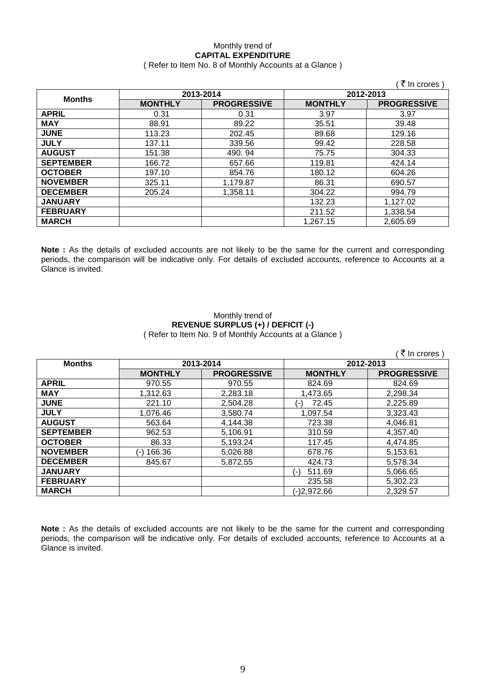### Monthly trend of **CAPITAL EXPENDITURE**

### ( Refer to Item No. 8 of Monthly Accounts at a Glance )

|                  |                |                    |                | ्रे In crores )    |
|------------------|----------------|--------------------|----------------|--------------------|
| <b>Months</b>    | 2013-2014      |                    | 2012-2013      |                    |
|                  | <b>MONTHLY</b> | <b>PROGRESSIVE</b> | <b>MONTHLY</b> | <b>PROGRESSIVE</b> |
| <b>APRIL</b>     | 0.31           | 0.31               | 3.97           | 3.97               |
| <b>MAY</b>       | 88.91          | 89.22              | 35.51          | 39.48              |
| <b>JUNE</b>      | 113.23         | 202.45             | 89.68          | 129.16             |
| <b>JULY</b>      | 137.11         | 339.56             | 99.42          | 228.58             |
| <b>AUGUST</b>    | 151.38         | 490.94             | 75.75          | 304.33             |
| <b>SEPTEMBER</b> | 166.72         | 657.66             | 119.81         | 424.14             |
| <b>OCTOBER</b>   | 197.10         | 854.76             | 180.12         | 604.26             |
| <b>NOVEMBER</b>  | 325.11         | 1,179.87           | 86.31          | 690.57             |
| <b>DECEMBER</b>  | 205.24         | 1,358.11           | 304.22         | 994.79             |
| <b>JANUARY</b>   |                |                    | 132.23         | 1,127.02           |
| <b>FEBRUARY</b>  |                |                    | 211.52         | 1,338.54           |
| <b>MARCH</b>     |                |                    | 1,267.15       | 2,605.69           |

**Note :** As the details of excluded accounts are not likely to be the same for the current and corresponding periods, the comparison will be indicative only. For details of excluded accounts, reference to Accounts at a Glance is invited.

### Monthly trend of **REVENUE SURPLUS (+) / DEFICIT (-)** ( Refer to Item No. 9 of Monthly Accounts at a Glance )

|                  |                |                    |                 | (₹ In crores)      |
|------------------|----------------|--------------------|-----------------|--------------------|
| <b>Months</b>    | 2013-2014      |                    | 2012-2013       |                    |
|                  | <b>MONTHLY</b> | <b>PROGRESSIVE</b> | <b>MONTHLY</b>  | <b>PROGRESSIVE</b> |
| <b>APRIL</b>     | 970.55         | 970.55             | 824.69          | 824.69             |
| <b>MAY</b>       | 1,312.63       | 2,283.18           | 1,473.65        | 2,298.34           |
| <b>JUNE</b>      | 221.10         | 2,504.28           | 72.45<br>( – )  | 2,225.89           |
| <b>JULY</b>      | 1,076.46       | 3,580.74           | 1,097.54        | 3,323.43           |
| <b>AUGUST</b>    | 563.64         | 4,144.38           | 723.38          | 4,046.81           |
| <b>SEPTEMBER</b> | 962.53         | 5,106.91           | 310.59          | 4,357.40           |
| <b>OCTOBER</b>   | 86.33          | 5,193.24           | 117.45          | 4,474.85           |
| <b>NOVEMBER</b>  | (-) 166.36     | 5,026.88           | 678.76          | 5,153.61           |
| <b>DECEMBER</b>  | 845.67         | 5,872.55           | 424.73          | 5,578.34           |
| <b>JANUARY</b>   |                |                    | 511.69<br>( – ) | 5,066.65           |
| <b>FEBRUARY</b>  |                |                    | 235.58          | 5,302.23           |
| <b>MARCH</b>     |                |                    | $(-)2,972.66$   | 2,329.57           |